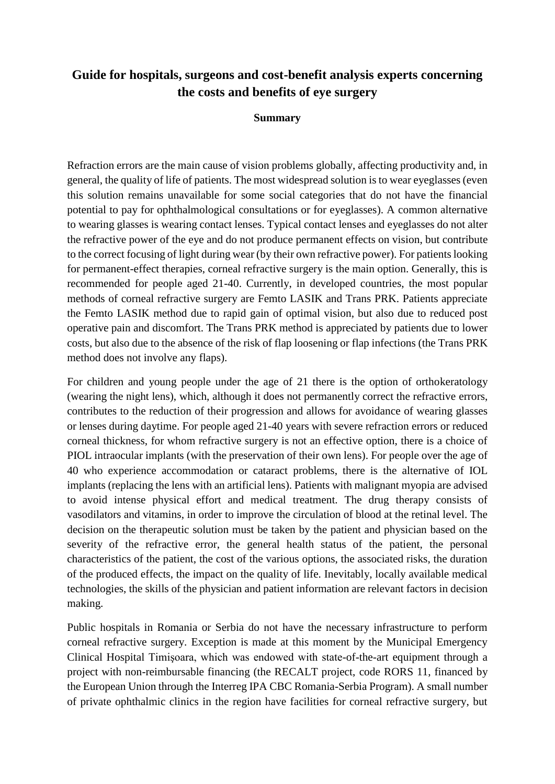# **Guide for hospitals, surgeons and cost-benefit analysis experts concerning the costs and benefits of eye surgery**

#### **Summary**

Refraction errors are the main cause of vision problems globally, affecting productivity and, in general, the quality of life of patients. The most widespread solution is to wear eyeglasses (even this solution remains unavailable for some social categories that do not have the financial potential to pay for ophthalmological consultations or for eyeglasses). A common alternative to wearing glasses is wearing contact lenses. Typical contact lenses and eyeglasses do not alter the refractive power of the eye and do not produce permanent effects on vision, but contribute to the correct focusing of light during wear (by their own refractive power). For patients looking for permanent-effect therapies, corneal refractive surgery is the main option. Generally, this is recommended for people aged 21-40. Currently, in developed countries, the most popular methods of corneal refractive surgery are Femto LASIK and Trans PRK. Patients appreciate the Femto LASIK method due to rapid gain of optimal vision, but also due to reduced post operative pain and discomfort. The Trans PRK method is appreciated by patients due to lower costs, but also due to the absence of the risk of flap loosening or flap infections (the Trans PRK method does not involve any flaps).

For children and young people under the age of 21 there is the option of orthokeratology (wearing the night lens), which, although it does not permanently correct the refractive errors, contributes to the reduction of their progression and allows for avoidance of wearing glasses or lenses during daytime. For people aged 21-40 years with severe refraction errors or reduced corneal thickness, for whom refractive surgery is not an effective option, there is a choice of PIOL intraocular implants (with the preservation of their own lens). For people over the age of 40 who experience accommodation or cataract problems, there is the alternative of IOL implants (replacing the lens with an artificial lens). Patients with malignant myopia are advised to avoid intense physical effort and medical treatment. The drug therapy consists of vasodilators and vitamins, in order to improve the circulation of blood at the retinal level. The decision on the therapeutic solution must be taken by the patient and physician based on the severity of the refractive error, the general health status of the patient, the personal characteristics of the patient, the cost of the various options, the associated risks, the duration of the produced effects, the impact on the quality of life. Inevitably, locally available medical technologies, the skills of the physician and patient information are relevant factors in decision making.

Public hospitals in Romania or Serbia do not have the necessary infrastructure to perform corneal refractive surgery. Exception is made at this moment by the Municipal Emergency Clinical Hospital Timişoara, which was endowed with state-of-the-art equipment through a project with non-reimbursable financing (the RECALT project, code RORS 11, financed by the European Union through the Interreg IPA CBC Romania-Serbia Program). A small number of private ophthalmic clinics in the region have facilities for corneal refractive surgery, but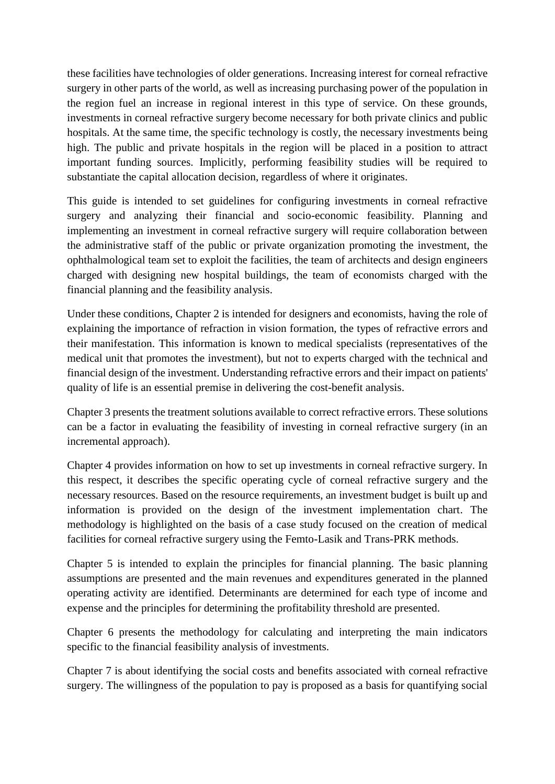these facilities have technologies of older generations. Increasing interest for corneal refractive surgery in other parts of the world, as well as increasing purchasing power of the population in the region fuel an increase in regional interest in this type of service. On these grounds, investments in corneal refractive surgery become necessary for both private clinics and public hospitals. At the same time, the specific technology is costly, the necessary investments being high. The public and private hospitals in the region will be placed in a position to attract important funding sources. Implicitly, performing feasibility studies will be required to substantiate the capital allocation decision, regardless of where it originates.

This guide is intended to set guidelines for configuring investments in corneal refractive surgery and analyzing their financial and socio-economic feasibility. Planning and implementing an investment in corneal refractive surgery will require collaboration between the administrative staff of the public or private organization promoting the investment, the ophthalmological team set to exploit the facilities, the team of architects and design engineers charged with designing new hospital buildings, the team of economists charged with the financial planning and the feasibility analysis.

Under these conditions, Chapter 2 is intended for designers and economists, having the role of explaining the importance of refraction in vision formation, the types of refractive errors and their manifestation. This information is known to medical specialists (representatives of the medical unit that promotes the investment), but not to experts charged with the technical and financial design of the investment. Understanding refractive errors and their impact on patients' quality of life is an essential premise in delivering the cost-benefit analysis.

Chapter 3 presents the treatment solutions available to correct refractive errors. These solutions can be a factor in evaluating the feasibility of investing in corneal refractive surgery (in an incremental approach).

Chapter 4 provides information on how to set up investments in corneal refractive surgery. In this respect, it describes the specific operating cycle of corneal refractive surgery and the necessary resources. Based on the resource requirements, an investment budget is built up and information is provided on the design of the investment implementation chart. The methodology is highlighted on the basis of a case study focused on the creation of medical facilities for corneal refractive surgery using the Femto-Lasik and Trans-PRK methods.

Chapter 5 is intended to explain the principles for financial planning. The basic planning assumptions are presented and the main revenues and expenditures generated in the planned operating activity are identified. Determinants are determined for each type of income and expense and the principles for determining the profitability threshold are presented.

Chapter 6 presents the methodology for calculating and interpreting the main indicators specific to the financial feasibility analysis of investments.

Chapter 7 is about identifying the social costs and benefits associated with corneal refractive surgery. The willingness of the population to pay is proposed as a basis for quantifying social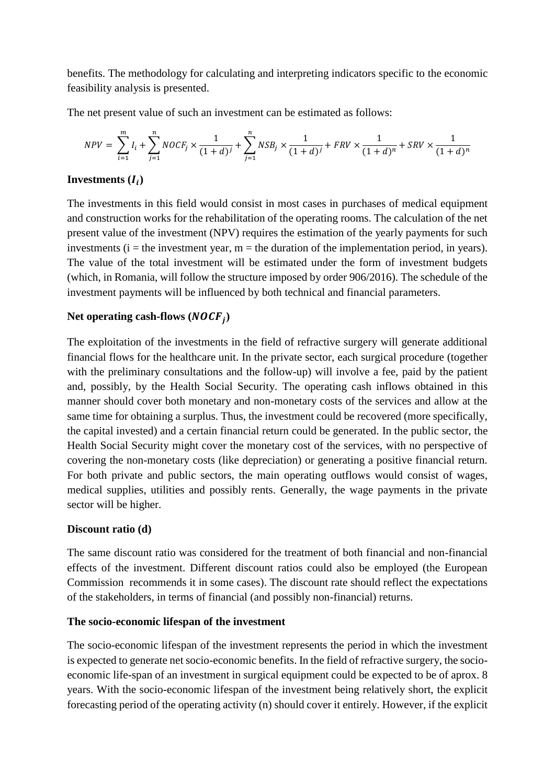benefits. The methodology for calculating and interpreting indicators specific to the economic feasibility analysis is presented.

The net present value of such an investment can be estimated as follows:

$$
NPV = \sum_{i=1}^{m} I_i + \sum_{j=1}^{n} NOCF_j \times \frac{1}{(1+d)^j} + \sum_{j=1}^{n} NSB_j \times \frac{1}{(1+d)^j} + FRV \times \frac{1}{(1+d)^n} + SRV \times \frac{1}{(1+d)^n}
$$

### Investments  $(I_i)$

The investments in this field would consist in most cases in purchases of medical equipment and construction works for the rehabilitation of the operating rooms. The calculation of the net present value of the investment (NPV) requires the estimation of the yearly payments for such investments ( $i =$  the investment year,  $m =$  the duration of the implementation period, in years). The value of the total investment will be estimated under the form of investment budgets (which, in Romania, will follow the structure imposed by order 906/2016). The schedule of the investment payments will be influenced by both technical and financial parameters.

### Net operating cash-flows  $(NOCF<sub>j</sub>)$

The exploitation of the investments in the field of refractive surgery will generate additional financial flows for the healthcare unit. In the private sector, each surgical procedure (together with the preliminary consultations and the follow-up) will involve a fee, paid by the patient and, possibly, by the Health Social Security. The operating cash inflows obtained in this manner should cover both monetary and non-monetary costs of the services and allow at the same time for obtaining a surplus. Thus, the investment could be recovered (more specifically, the capital invested) and a certain financial return could be generated. In the public sector, the Health Social Security might cover the monetary cost of the services, with no perspective of covering the non-monetary costs (like depreciation) or generating a positive financial return. For both private and public sectors, the main operating outflows would consist of wages, medical supplies, utilities and possibly rents. Generally, the wage payments in the private sector will be higher.

#### **Discount ratio (d)**

The same discount ratio was considered for the treatment of both financial and non-financial effects of the investment. Different discount ratios could also be employed (the European Commission recommends it in some cases). The discount rate should reflect the expectations of the stakeholders, in terms of financial (and possibly non-financial) returns.

#### **The socio-economic lifespan of the investment**

The socio-economic lifespan of the investment represents the period in which the investment is expected to generate net socio-economic benefits. In the field of refractive surgery, the socioeconomic life-span of an investment in surgical equipment could be expected to be of aprox. 8 years. With the socio-economic lifespan of the investment being relatively short, the explicit forecasting period of the operating activity (n) should cover it entirely. However, if the explicit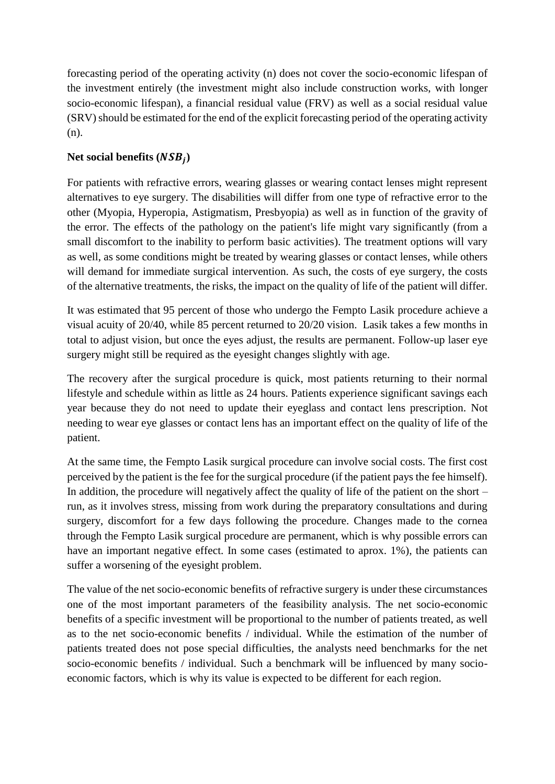forecasting period of the operating activity (n) does not cover the socio-economic lifespan of the investment entirely (the investment might also include construction works, with longer socio-economic lifespan), a financial residual value (FRV) as well as a social residual value (SRV) should be estimated for the end of the explicit forecasting period of the operating activity (n).

## Net social benefits  $(NSB<sub>j</sub>)$

For patients with refractive errors, wearing glasses or wearing contact lenses might represent alternatives to eye surgery. The disabilities will differ from one type of refractive error to the other (Myopia, Hyperopia, Astigmatism, Presbyopia) as well as in function of the gravity of the error. The effects of the pathology on the patient's life might vary significantly (from a small discomfort to the inability to perform basic activities). The treatment options will vary as well, as some conditions might be treated by wearing glasses or contact lenses, while others will demand for immediate surgical intervention. As such, the costs of eye surgery, the costs of the alternative treatments, the risks, the impact on the quality of life of the patient will differ.

It was estimated that 95 percent of those who undergo the Fempto Lasik procedure achieve a visual acuity of 20/40, while 85 percent returned to 20/20 vision. Lasik takes a few months in total to adjust vision, but once the eyes adjust, the results are permanent. Follow-up laser eye surgery might still be required as the eyesight changes slightly with age.

The recovery after the surgical procedure is quick, most patients returning to their normal lifestyle and schedule within as little as 24 hours. Patients experience significant savings each year because they do not need to update their eyeglass and contact lens prescription. Not needing to wear eye glasses or contact lens has an important effect on the quality of life of the patient.

At the same time, the Fempto Lasik surgical procedure can involve social costs. The first cost perceived by the patient is the fee for the surgical procedure (if the patient pays the fee himself). In addition, the procedure will negatively affect the quality of life of the patient on the short – run, as it involves stress, missing from work during the preparatory consultations and during surgery, discomfort for a few days following the procedure. Changes made to the cornea through the Fempto Lasik surgical procedure are permanent, which is why possible errors can have an important negative effect. In some cases (estimated to aprox. 1%), the patients can suffer a worsening of the eyesight problem.

The value of the net socio-economic benefits of refractive surgery is under these circumstances one of the most important parameters of the feasibility analysis. The net socio-economic benefits of a specific investment will be proportional to the number of patients treated, as well as to the net socio-economic benefits / individual. While the estimation of the number of patients treated does not pose special difficulties, the analysts need benchmarks for the net socio-economic benefits / individual. Such a benchmark will be influenced by many socioeconomic factors, which is why its value is expected to be different for each region.